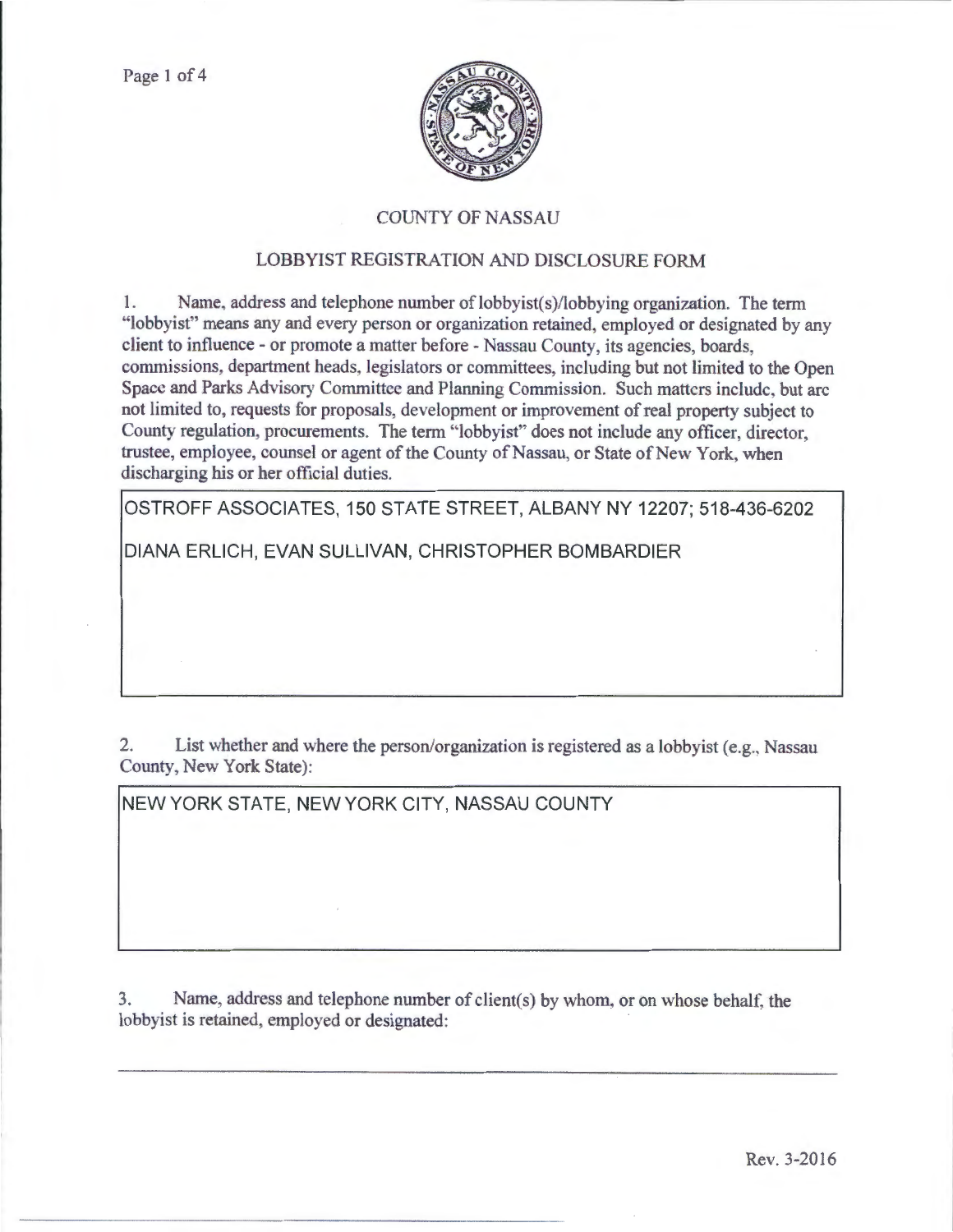

## COUNTY OF NASSAU

## LOBBYIST REGISTRATION AND DISCLOSURE FORM

1. Name, address and telephone number of lobbyist(s)/lobbying organization. The term "lobbyist" means any and every person or organization retained, employed or designated by any client to influence- or promote a matter before- Nassau County, its agencies, boards, commissions department heads, legislators or committees, including but not limited to the Open Space and Parks Advisory Committee and Planning Commission. Such matters include, but arc not limited to, requests for proposals, development or improvement of real property subject to County regulation, procurements. The term "lobbyist" does not include any officer, director, trustee, employee, counsel or agent of the County of Nassau, or State of New York, when discharging his or her official duties.

OSTROFF ASSOCIATES, 150 STATE STREET, ALBANY NY 12207; 518-436-6202

DIANA ERLICH, EVAN SULLIVAN, CHRISTOPHER BOMBARDIER

2. List whether and where the person/organization is registered as a lobbyist (e.g., Nassau County, New York State):

NEW YORK STATE, NEW YORK CITY, NASSAU COUNTY

3. Name, address and telephone number of client(s) by whom, or on whose behalf. the lobbyist is retained, employed or designated: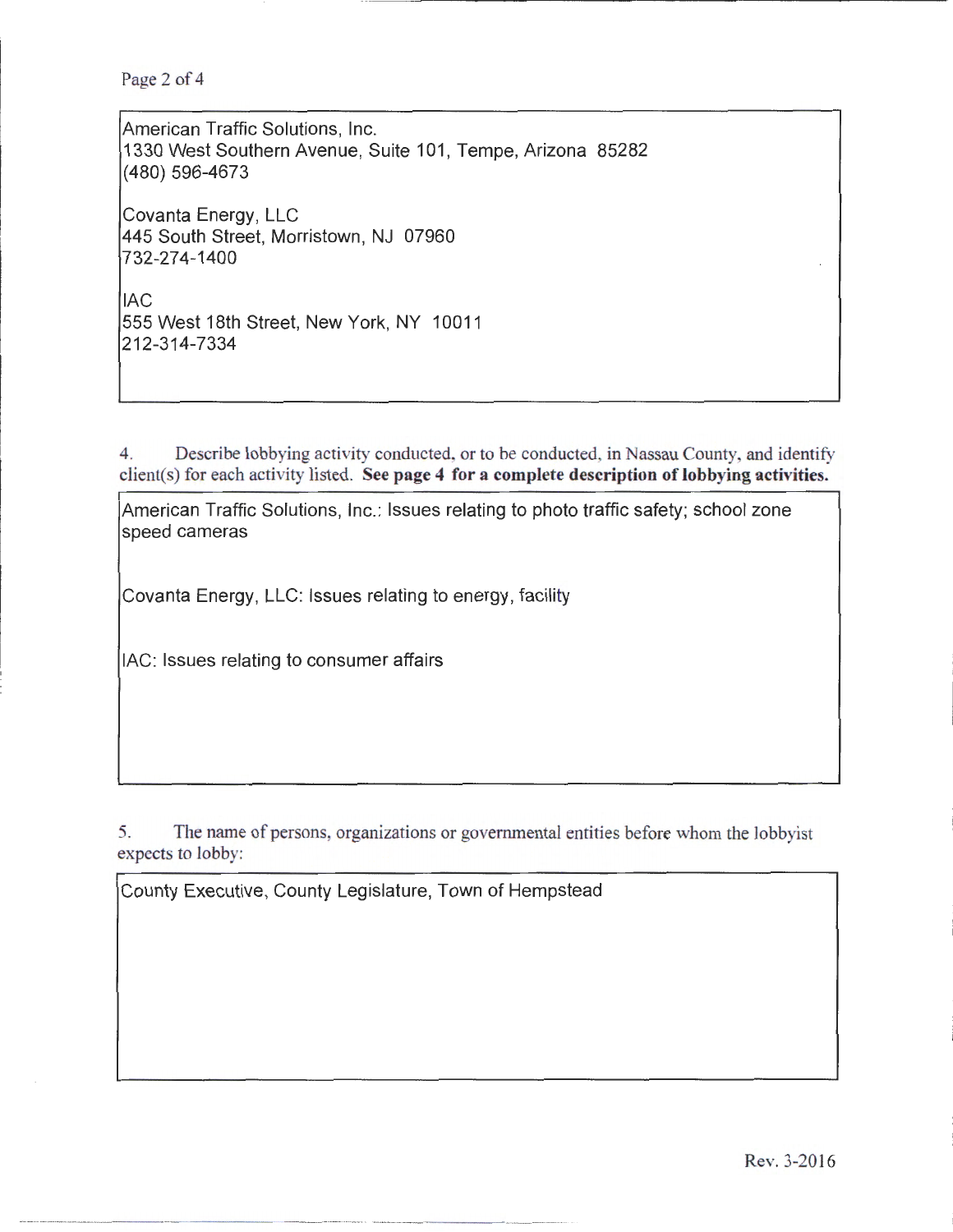Page 2 of 4

American Traffic Solutions, Inc. 1330 West Southern Avenue, Suite 101 , Tempe, Arizona 85282 (480) 596-4673 Covanta Energy, LLC 445 South Street, Morristown, NJ 07960 732-274-1400 lAC 555 West 18th Street, New York, NY 10011 212-314-7334

4. Describe lobbying activity conducted. or to be conducted, in Nassau County, and identify client(s) for each activity listed. See page 4 for a complete description of lobbying activities.

American Traffic Solutions, Inc.: Issues relating to photo traffic safety; school zone speed cameras

Covanta Energy, LLC: Issues relating to energy, facility

lAC: Issues relating to consumer affairs

5. The name of persons, organizations or goverrunental entities before whom the lobbyist expects to lobby:

County Executive, County Legislature, Town of Hempstead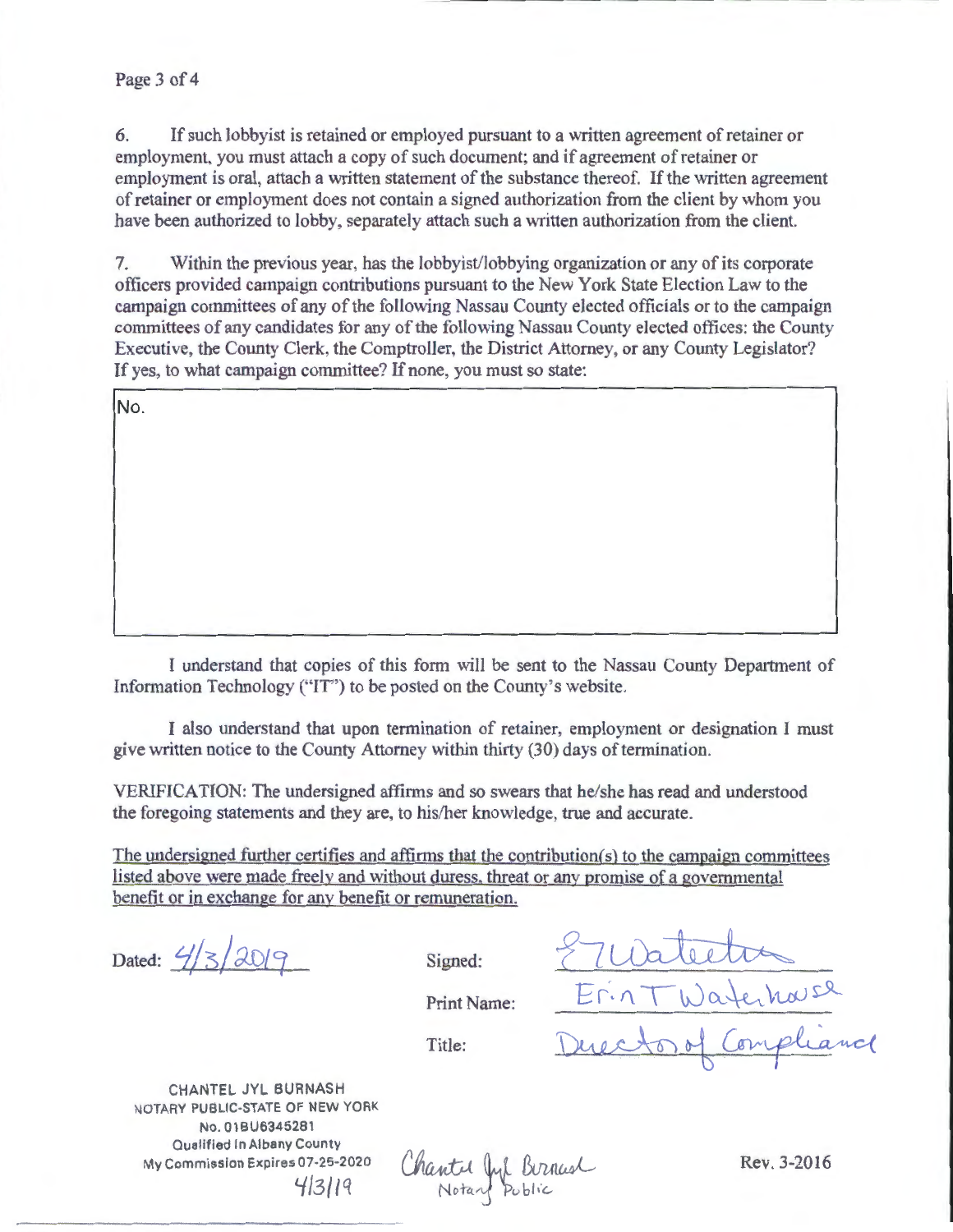## Page 3 of 4

6. If such lobbyist is retained or employed pursuant to a written agreement of retainer or employment, you must attach a copy of such document; and if agreement of retainer or employment is oral, attach a written statement of the substance thereof. If the written agreement of retainer or employment does not contain a signed authorization from the client by whom you have been authorized to lobby, separately attach such a written authorization from the client.

7. Within the previous year, has the lobbyist/lobbying organization or any of its corporate officers provided campaign contributions pursuant to the New York State Election Law to the campaign committees of any of the following Nassau County elected officials or to the campaign committees of any candidates for any of the following Nassau County elected offices: the County Executive, the County Clerk, the Comptroller, the District Attorney, or any County Legislator? If yes, to what campaign committee? If none, you must so state:

No.

I understand that copies of this form will be sent to the Nassau County Depattment of Information Technology ("IT") to be posted on the County's website.

I also understand that upon termination of retainer, employment or designation I must give written notice to the County Attorney within thirty (30) days of termination.

VERIFICATION: The undersigned affirms and so swears that he/she has read and understood the foregoing statements and they are, to his/her knowledge, true and accurate.

The undersigned further certifies and affirms that the contribution(s) to the campaign committees listed above were made freely and without duress. threat or any promise of a governmental benefit or in exchange for any benefit or remuneration.

Dated:  $4/3/2019$ 

Signed: <u>E</u>votector Print Name: Erin TWaterhause

CHANTEL JYL BURNASH NOTARY PUBLIC-STATE OF NEW YORK No. 01 BU6345281 Qualified In Albany County My Commission Expires 07-25-2020 413119

Chantel Jul Burnush

Rev. 3-2016